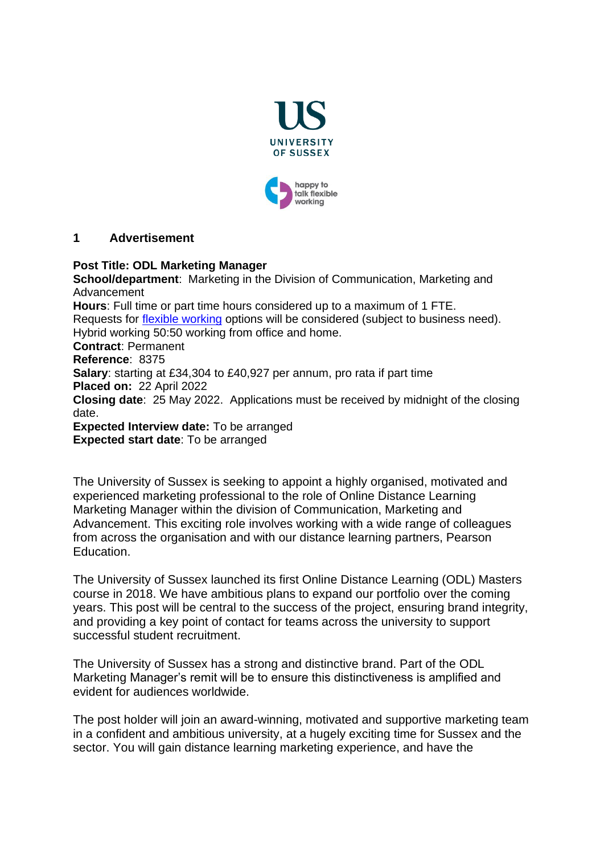

working

## **1 Advertisement**

#### **Post Title: ODL Marketing Manager**

**School/department**: Marketing in the Division of Communication, Marketing and Advancement **Hours**: Full time or part time hours considered up to a maximum of 1 FTE. Requests for [flexible working](http://www.sussex.ac.uk/humanresources/personnel/flexible-working) options will be considered (subject to business need). Hybrid working 50:50 working from office and home. **Contract**: Permanent **Reference**: 8375 **Salary**: starting at £34,304 to £40,927 per annum, pro rata if part time **Placed on:** 22 April 2022 **Closing date**: 25 May 2022. Applications must be received by midnight of the closing date. **Expected Interview date:** To be arranged

**Expected start date**: To be arranged

The University of Sussex is seeking to appoint a highly organised, motivated and experienced marketing professional to the role of Online Distance Learning Marketing Manager within the division of Communication, Marketing and Advancement. This exciting role involves working with a wide range of colleagues from across the organisation and with our distance learning partners, Pearson Education.

The University of Sussex launched its first Online Distance Learning (ODL) Masters course in 2018. We have ambitious plans to expand our portfolio over the coming years. This post will be central to the success of the project, ensuring brand integrity, and providing a key point of contact for teams across the university to support successful student recruitment.

The University of Sussex has a strong and distinctive brand. Part of the ODL Marketing Manager's remit will be to ensure this distinctiveness is amplified and evident for audiences worldwide.

The post holder will join an award-winning, motivated and supportive marketing team in a confident and ambitious university, at a hugely exciting time for Sussex and the sector. You will gain distance learning marketing experience, and have the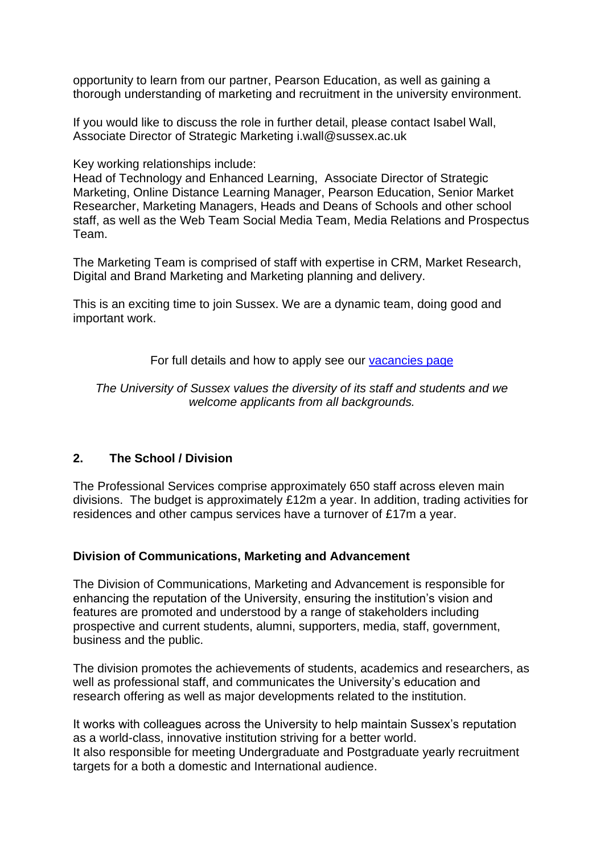opportunity to learn from our partner, Pearson Education, as well as gaining a thorough understanding of marketing and recruitment in the university environment.

If you would like to discuss the role in further detail, please contact Isabel Wall, Associate Director of Strategic Marketing i.wall@sussex.ac.uk

Key working relationships include:

Head of Technology and Enhanced Learning, Associate Director of Strategic Marketing, Online Distance Learning Manager, Pearson Education, Senior Market Researcher, Marketing Managers, Heads and Deans of Schools and other school staff, as well as the Web Team Social Media Team, Media Relations and Prospectus Team.

The Marketing Team is comprised of staff with expertise in CRM, Market Research, Digital and Brand Marketing and Marketing planning and delivery.

This is an exciting time to join Sussex. We are a dynamic team, doing good and important work.

For full details and how to apply see our [vacancies page](http://www.sussex.ac.uk/about/jobs)

*The University of Sussex values the diversity of its staff and students and we welcome applicants from all backgrounds.*

## **2. The School / Division**

The Professional Services comprise approximately 650 staff across eleven main divisions. The budget is approximately £12m a year. In addition, trading activities for residences and other campus services have a turnover of £17m a year.

## **Division of Communications, Marketing and Advancement**

The Division of Communications, Marketing and Advancement is responsible for enhancing the reputation of the University, ensuring the institution's vision and features are promoted and understood by a range of stakeholders including prospective and current students, alumni, supporters, media, staff, government, business and the public.

The division promotes the achievements of students, academics and researchers, as well as professional staff, and communicates the University's education and research offering as well as major developments related to the institution.

It works with colleagues across the University to help maintain Sussex's reputation as a world-class, innovative institution striving for a better world. It also responsible for meeting Undergraduate and Postgraduate yearly recruitment targets for a both a domestic and International audience.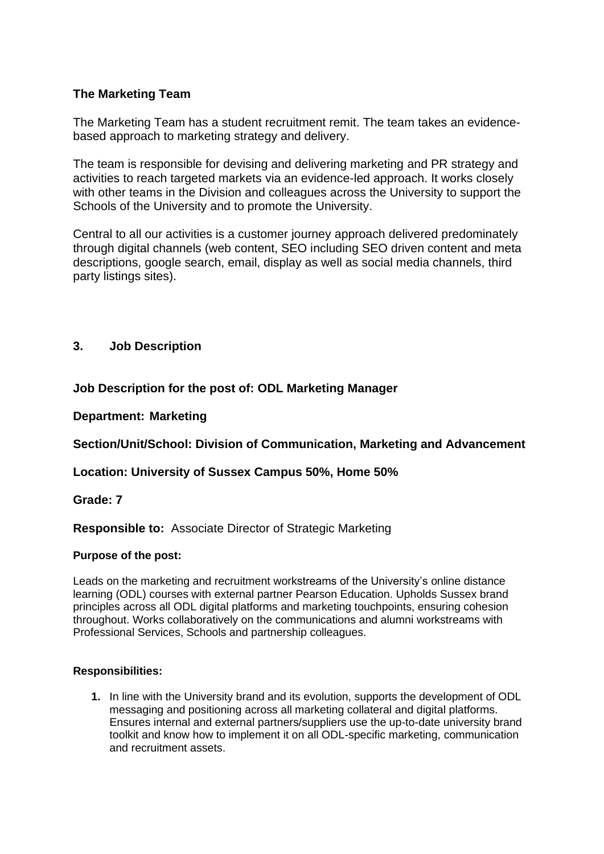## **The Marketing Team**

The Marketing Team has a student recruitment remit. The team takes an evidencebased approach to marketing strategy and delivery.

The team is responsible for devising and delivering marketing and PR strategy and activities to reach targeted markets via an evidence-led approach. It works closely with other teams in the Division and colleagues across the University to support the Schools of the University and to promote the University.

Central to all our activities is a customer journey approach delivered predominately through digital channels (web content, SEO including SEO driven content and meta descriptions, google search, email, display as well as social media channels, third party listings sites).

## **3. Job Description**

**Job Description for the post of: ODL Marketing Manager**

**Department: Marketing**

**Section/Unit/School: Division of Communication, Marketing and Advancement**

**Location: University of Sussex Campus 50%, Home 50%** 

## **Grade: 7**

**Responsible to:** Associate Director of Strategic Marketing

## **Purpose of the post:**

Leads on the marketing and recruitment workstreams of the University's online distance learning (ODL) courses with external partner Pearson Education. Upholds Sussex brand principles across all ODL digital platforms and marketing touchpoints, ensuring cohesion throughout. Works collaboratively on the communications and alumni workstreams with Professional Services, Schools and partnership colleagues.

## **Responsibilities:**

**1.** In line with the University brand and its evolution, supports the development of ODL messaging and positioning across all marketing collateral and digital platforms. Ensures internal and external partners/suppliers use the up-to-date university brand toolkit and know how to implement it on all ODL-specific marketing, communication and recruitment assets.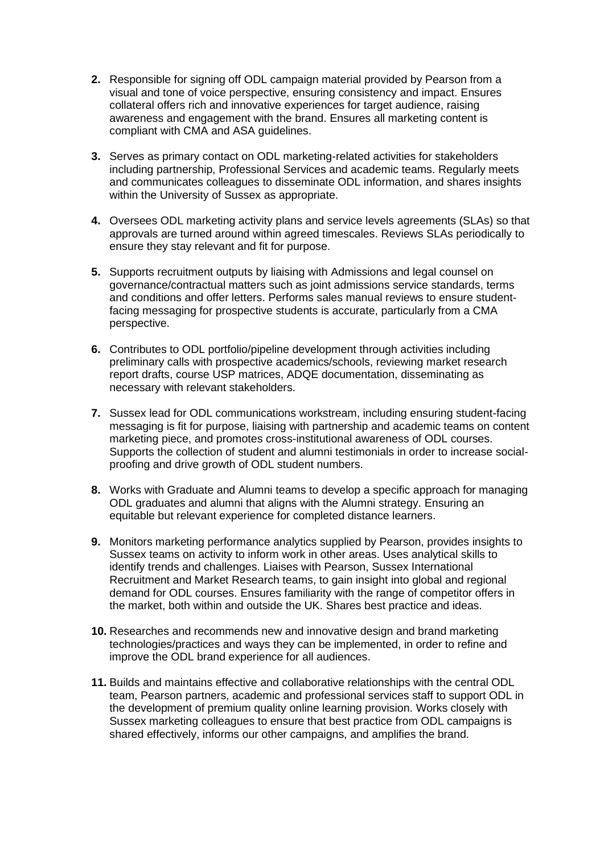- **2.** Responsible for signing off ODL campaign material provided by Pearson from a visual and tone of voice perspective, ensuring consistency and impact. Ensures collateral offers rich and innovative experiences for target audience, raising awareness and engagement with the brand. Ensures all marketing content is compliant with CMA and ASA guidelines.
- **3.** Serves as primary contact on ODL marketing-related activities for stakeholders including partnership, Professional Services and academic teams. Regularly meets and communicates colleagues to disseminate ODL information, and shares insights within the University of Sussex as appropriate.
- **4.** Oversees ODL marketing activity plans and service levels agreements (SLAs) so that approvals are turned around within agreed timescales. Reviews SLAs periodically to ensure they stay relevant and fit for purpose.
- **5.** Supports recruitment outputs by liaising with Admissions and legal counsel on governance/contractual matters such as joint admissions service standards, terms and conditions and offer letters. Performs sales manual reviews to ensure studentfacing messaging for prospective students is accurate, particularly from a CMA perspective.
- **6.** Contributes to ODL portfolio/pipeline development through activities including preliminary calls with prospective academics/schools, reviewing market research report drafts, course USP matrices, ADQE documentation, disseminating as necessary with relevant stakeholders.
- **7.** Sussex lead for ODL communications workstream, including ensuring student-facing messaging is fit for purpose, liaising with partnership and academic teams on content marketing piece, and promotes cross-institutional awareness of ODL courses. Supports the collection of student and alumni testimonials in order to increase socialproofing and drive growth of ODL student numbers.
- **8.** Works with Graduate and Alumni teams to develop a specific approach for managing ODL graduates and alumni that aligns with the Alumni strategy. Ensuring an equitable but relevant experience for completed distance learners.
- **9.** Monitors marketing performance analytics supplied by Pearson, provides insights to Sussex teams on activity to inform work in other areas. Uses analytical skills to identify trends and challenges. Liaises with Pearson, Sussex International Recruitment and Market Research teams, to gain insight into global and regional demand for ODL courses. Ensures familiarity with the range of competitor offers in the market, both within and outside the UK. Shares best practice and ideas.
- **10.** Researches and recommends new and innovative design and brand marketing technologies/practices and ways they can be implemented, in order to refine and improve the ODL brand experience for all audiences.
- **11.** Builds and maintains effective and collaborative relationships with the central ODL team, Pearson partners, academic and professional services staff to support ODL in the development of premium quality online learning provision. Works closely with Sussex marketing colleagues to ensure that best practice from ODL campaigns is shared effectively, informs our other campaigns, and amplifies the brand.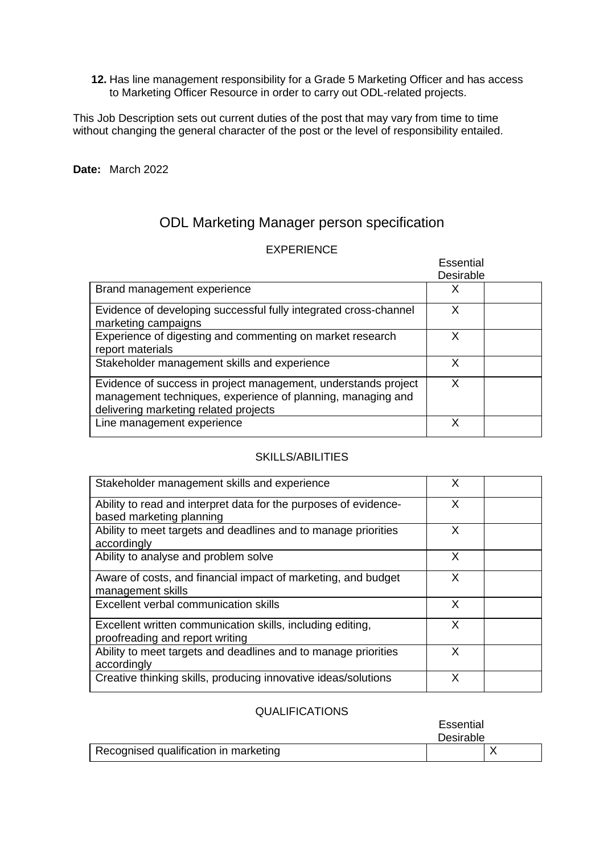**12.** Has line management responsibility for a Grade 5 Marketing Officer and has access to Marketing Officer Resource in order to carry out ODL-related projects.

This Job Description sets out current duties of the post that may vary from time to time without changing the general character of the post or the level of responsibility entailed.

#### **Date:** March 2022

# ODL Marketing Manager person specification

#### EXPERIENCE

|                                                                                                                                                                        | <b>Essential</b><br>Desirable |  |
|------------------------------------------------------------------------------------------------------------------------------------------------------------------------|-------------------------------|--|
| Brand management experience                                                                                                                                            | x                             |  |
| Evidence of developing successful fully integrated cross-channel<br>marketing campaigns                                                                                | X                             |  |
| Experience of digesting and commenting on market research<br>report materials                                                                                          | X                             |  |
| Stakeholder management skills and experience                                                                                                                           | X                             |  |
| Evidence of success in project management, understands project<br>management techniques, experience of planning, managing and<br>delivering marketing related projects | X                             |  |
| Line management experience                                                                                                                                             | х                             |  |

#### SKILLS/ABILITIES

| Stakeholder management skills and experience                                                  | X |  |
|-----------------------------------------------------------------------------------------------|---|--|
| Ability to read and interpret data for the purposes of evidence-<br>based marketing planning  | X |  |
| Ability to meet targets and deadlines and to manage priorities<br>accordingly                 | X |  |
| Ability to analyse and problem solve                                                          | X |  |
| Aware of costs, and financial impact of marketing, and budget<br>management skills            | X |  |
| Excellent verbal communication skills                                                         | X |  |
| Excellent written communication skills, including editing,<br>proofreading and report writing | X |  |
| Ability to meet targets and deadlines and to manage priorities<br>accordingly                 | X |  |
| Creative thinking skills, producing innovative ideas/solutions                                | X |  |

## **QUALIFICATIONS**

|                                       | Essential |  |
|---------------------------------------|-----------|--|
|                                       | Desirable |  |
| Recognised qualification in marketing |           |  |